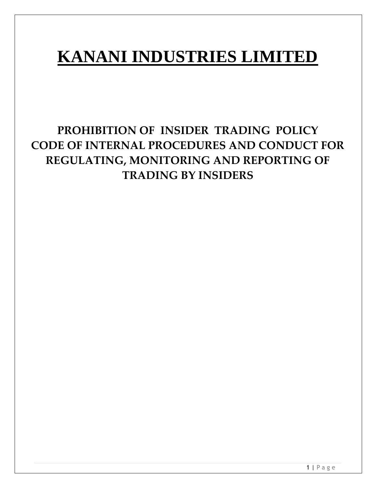# **KANANI INDUSTRIES LIMITED**

# **PROHIBITION OF INSIDER TRADING POLICY CODE OF INTERNAL PROCEDURES AND CONDUCT FOR REGULATING, MONITORING AND REPORTING OF TRADING BY INSIDERS**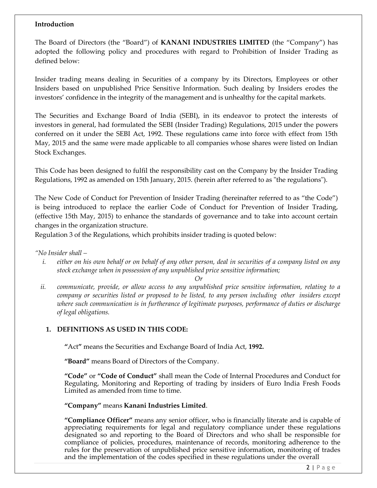# **Introduction**

The Board of Directors (the "Board") of **KANANI INDUSTRIES LIMITED** (the "Company") has adopted the following policy and procedures with regard to Prohibition of Insider Trading as defined below:

Insider trading means dealing in Securities of a company by its Directors, Employees or other Insiders based on unpublished Price Sensitive Information. Such dealing by Insiders erodes the investors' confidence in the integrity of the management and is unhealthy for the capital markets.

The Securities and Exchange Board of India (SEBI), in its endeavor to protect the interests of investors in general, had formulated the SEBI (Insider Trading) Regulations, 2015 under the powers conferred on it under the SEBI Act, 1992. These regulations came into force with effect from 15th May, 2015 and the same were made applicable to all companies whose shares were listed on Indian Stock Exchanges.

This Code has been designed to fulfil the responsibility cast on the Company by the Insider Trading Regulations, 1992 as amended on 15th January, 2015. (herein after referred to as "the regulations").

The New Code of Conduct for Prevention of Insider Trading (hereinafter referred to as "the Code") is being introduced to replace the earlier Code of Conduct for Prevention of Insider Trading, (effective 15th May, 2015) to enhance the standards of governance and to take into account certain changes in the organization structure.

Regulation 3 of the Regulations, which prohibits insider trading is quoted below:

# *"No Insider shall –*

*i. either on his own behalf or on behalf of any other person, deal in securities of a company listed on any stock exchange when in possession of any unpublished price sensitive information;*

*Or*

*ii. communicate, provide, or allow access to any unpublished price sensitive information, relating to a company or securities listed or proposed to be listed, to any person including other insiders except where such communication is in furtherance of legitimate purposes, performance of duties or discharge of legal obligations.*

# **1. DEFINITIONS AS USED IN THIS CODE:**

**"**Act**"** means the Securities and Exchange Board of India Act, **1992.**

**"Board"** means Board of Directors of the Company.

**"Code"** or **"Code of Conduct"** shall mean the Code of Internal Procedures and Conduct for Regulating, Monitoring and Reporting of trading by insiders of Euro India Fresh Foods Limited as amended from time to time.

# **"Company"** means **Kanani Industries Limited**.

**"Compliance Officer"** means any senior officer, who is financially literate and is capable of appreciating requirements for legal and regulatory compliance under these regulations designated so and reporting to the Board of Directors and who shall be responsible for compliance of policies, procedures, maintenance of records, monitoring adherence to the rules for the preservation of unpublished price sensitive information, monitoring of trades and the implementation of the codes specified in these regulations under the overall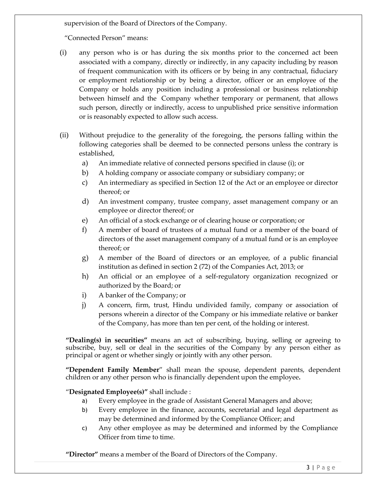supervision of the Board of Directors of the Company.

"Connected Person" means:

- (i) any person who is or has during the six months prior to the concerned act been associated with a company, directly or indirectly, in any capacity including by reason of frequent communication with its officers or by being in any contractual, fiduciary or employment relationship or by being a director, officer or an employee of the Company or holds any position including a professional or business relationship between himself and the Company whether temporary or permanent, that allows such person, directly or indirectly, access to unpublished price sensitive information or is reasonably expected to allow such access.
- (ii) Without prejudice to the generality of the foregoing, the persons falling within the following categories shall be deemed to be connected persons unless the contrary is established,
	- a) An immediate relative of connected persons specified in clause (i); or
	- b) A holding company or associate company or subsidiary company; or
	- c) An intermediary as specified in Section 12 of the Act or an employee or director thereof; or
	- d) An investment company, trustee company, asset management company or an employee or director thereof; or
	- e) An official of a stock exchange or of clearing house or corporation; or
	- f) A member of board of trustees of a mutual fund or a member of the board of directors of the asset management company of a mutual fund or is an employee thereof; or
	- g) A member of the Board of directors or an employee, of a public financial institution as defined in section 2 (72) of the Companies Act, 2013; or
	- h) An official or an employee of a self-regulatory organization recognized or authorized by the Board; or
	- i) A banker of the Company; or
	- j) A concern, firm, trust, Hindu undivided family, company or association of persons wherein a director of the Company or his immediate relative or banker of the Company, has more than ten per cent, of the holding or interest.

**"Dealing(s) in securities"** means an act of subscribing, buying, selling or agreeing to subscribe, buy, sell or deal in the securities of the Company by any person either as principal or agent or whether singly or jointly with any other person.

**"Dependent Family Member**" shall mean the spouse, dependent parents, dependent children or any other person who is financially dependent upon the employee**.**

# "**Designated Employee(s)"** shall include :

- a) Every employee in the grade of Assistant General Managers and above;
- b) Every employee in the finance, accounts, secretarial and legal department as may be determined and informed by the Compliance Officer; and
- c) Any other employee as may be determined and informed by the Compliance Officer from time to time.

**"Director"** means a member of the Board of Directors of the Company.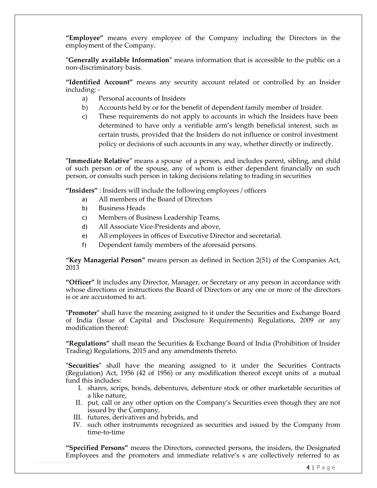**"Employee"** means every employee of the Company including the Directors in the employment of the Company.

**"Generally available Information"** means information that is accessible to the public on a non-discriminatory basis.

**"Identified Account"** means any security account related or controlled by an Insider including: -

- a) Personal accounts of Insiders
- b) Accounts held by or for the benefit of dependent family member of Insider.
- c) These requirements do not apply to accounts in which the Insiders have been determined to have only a verifiable arm's length beneficial interest, such as certain trusts, provided that the Insiders do not influence or control investment policy or decisions of such accounts in any way, whether directly or indirectly.

**"Immediate Relative"** means a spouse of a person, and includes parent, sibling, and child of such person or of the spouse, any of whom is either dependent financially on such person, or consults such person in taking decisions relating to trading in securities

**"Insiders"** : Insiders will include the following employees / officers

- a) All members of the Board of Directors
- b) Business Heads
- c) Members of Business Leadership Teams,
- d) All Associate Vice-Presidents and above,
- e) All employees in offices of Executive Director and secretarial.
- f) Dependent family members of the aforesaid persons.

**"Key Managerial Person"** means person as defined in Section 2(51) of the Companies Act, 2013

**"Officer"** It includes any Director, Manager, or Secretary or any person in accordance with whose directions or instructions the Board of Directors or any one or more of the directors is or are accustomed to act.

**"Promoter"** shall have the meaning assigned to it under the Securities and Exchange Board of India (Issue of Capital and Disclosure Requirements) Regulations, 2009 or any modification thereof:

**"Regulations"** shall mean the Securities & Exchange Board of India (Prohibition of Insider Trading) Regulations, 2015 and any amendments thereto.

**"Securities"** shall have the meaning assigned to it under the Securities Contracts (Regulation) Act, 1956 (42 of 1956) or any modification thereof except units of a mutual fund this includes:

- I. shares, scrips, bonds, debentures, debenture stock or other marketable securities of a like nature,
- II. put, call or any other option on the Company's Securities even though they are not issued by the Company,
- III. futures, derivatives and hybrids, and
- IV. such other instruments recognized as securities and issued by the Company from time-to-time

**"Specified Persons"** means the Directors, connected persons, the insiders, the Designated Employees and the promoters and immediate relative's s are collectively referred to as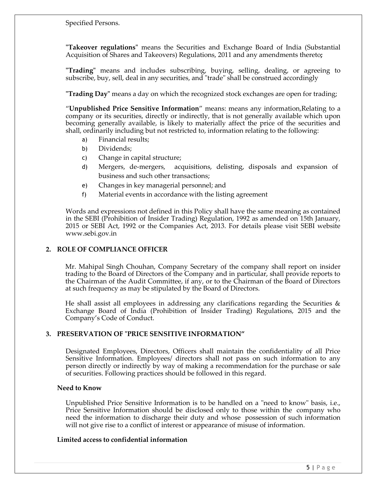Specified Persons.

**"Takeover regulations"** means the Securities and Exchange Board of India (Substantial Acquisition of Shares and Takeovers) Regulations, 2011 and any amendments thereto**;**

**"Trading"** means and includes subscribing, buying, selling, dealing, or agreeing to subscribe, buy, sell, deal in any securities, and "trade" shall be construed accordingly

**"Trading Day"** means a day on which the recognized stock exchanges are open for trading;

"**Unpublished Price Sensitive Information**" means: means any information,Relating to a company or its securities, directly or indirectly, that is not generally available which upon becoming generally available, is likely to materially affect the price of the securities and shall, ordinarily including but not restricted to, information relating to the following:

- a) Financial results;
- b) Dividends;
- c) Change in capital structure;
- d) Mergers, de-mergers, acquisitions, delisting, disposals and expansion of business and such other transactions;
- e) Changes in key managerial personnel; and
- f) Material events in accordance with the listing agreement

Words and expressions not defined in this Policy shall have the same meaning as contained in the SEBI (Prohibition of Insider Trading) Regulation, 1992 as amended on 15th January, 2015 or SEBI Act, 1992 or the Companies Act, 2013. For details please visit SEBI website [www.sebi.gov.in](http://www.sebi.gov.in/)

# **2. ROLE OF COMPLIANCE OFFICER**

Mr. Mahipal Singh Chouhan, Company Secretary of the company shall report on insider trading to the Board of Directors of the Company and in particular, shall provide reports to the Chairman of the Audit Committee, if any, or to the Chairman of the Board of Directors at such frequency as may be stipulated by the Board of Directors.

He shall assist all employees in addressing any clarifications regarding the Securities  $\&$ Exchange Board of India (Prohibition of Insider Trading) Regulations, 2015 and the Company's Code of Conduct.

#### **3. PRESERVATION OF "PRICE SENSITIVE INFORMATION"**

Designated Employees, Directors, Officers shall maintain the confidentiality of all Price Sensitive Information. Employees/ directors shall not pass on such information to any person directly or indirectly by way of making a recommendation for the purchase or sale of securities. Following practices should be followed in this regard.

#### **Need to Know**

Unpublished Price Sensitive Information is to be handled on a "need to know" basis, i.e., Price Sensitive Information should be disclosed only to those within the company who need the information to discharge their duty and whose possession of such information will not give rise to a conflict of interest or appearance of misuse of information.

#### **Limited access to confidential information**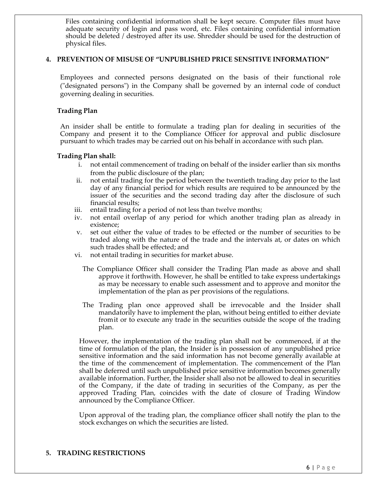Files containing confidential information shall be kept secure. Computer files must have adequate security of login and pass word, etc. Files containing confidential information should be deleted / destroyed after its use. Shredder should be used for the destruction of physical files.

#### **4. PREVENTION OF MISUSE OF "UNPUBLISHED PRICE SENSITIVE INFORMATION"**

Employees and connected persons designated on the basis of their functional role ("designated persons") in the Company shall be governed by an internal code of conduct governing dealing in securities.

#### **Trading Plan**

An insider shall be entitle to formulate a trading plan for dealing in securities of the Company and present it to the Compliance Officer for approval and public disclosure pursuant to which trades may be carried out on his behalf in accordance with such plan.

#### **Trading Plan shall:**

- i. not entail commencement of trading on behalf of the insider earlier than six months from the public disclosure of the plan;
- ii. not entail trading for the period between the twentieth trading day prior to the last day of any financial period for which results are required to be announced by the issuer of the securities and the second trading day after the disclosure of such financial results;
- iii. entail trading for a period of not less than twelve months;
- iv. not entail overlap of any period for which another trading plan as already in existence;
- v. set out either the value of trades to be effected or the number of securities to be traded along with the nature of the trade and the intervals at, or dates on which such trades shall be effected; and
- vi. not entail trading in securities for market abuse.
	- The Compliance Officer shall consider the Trading Plan made as above and shall approve it forthwith. However, he shall be entitled to take express undertakings as may be necessary to enable such assessment and to approve and monitor the implementation of the plan as per provisions of the regulations.
	- The Trading plan once approved shall be irrevocable and the Insider shall mandatorily have to implement the plan, without being entitled to either deviate fromit or to execute any trade in the securities outside the scope of the trading plan.

However, the implementation of the trading plan shall not be commenced, if at the time of formulation of the plan, the Insider is in possession of any unpublished price sensitive information and the said information has not become generally available at the time of the commencement of implementation. The commencement of the Plan shall be deferred until such unpublished price sensitive information becomes generally available information. Further, the Insider shall also not be allowed to deal in securities of the Company, if the date of trading in securities of the Company, as per the approved Trading Plan, coincides with the date of closure of Trading Window announced by the Compliance Officer.

Upon approval of the trading plan, the compliance officer shall notify the plan to the stock exchanges on which the securities are listed.

#### **5. TRADING RESTRICTIONS**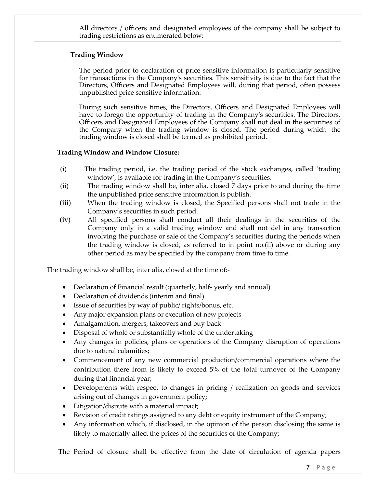All directors / officers and designated employees of the company shall be subject to trading restrictions as enumerated below:

#### **Trading Window**

The period prior to declaration of price sensitive information is particularly sensitive for transactions in the Company's securities. This sensitivity is due to the fact that the Directors, Officers and Designated Employees will, during that period, often possess unpublished price sensitive information.

During such sensitive times, the Directors, Officers and Designated Employees will have to forego the opportunity of trading in the Company's securities. The Directors, Officers and Designated Employees of the Company shall not deal in the securities of the Company when the trading window is closed. The period during which the trading window is closed shall be termed as prohibited period.

#### **Trading Window and Window Closure:**

- (i) The trading period, i.e. the trading period of the stock exchanges, called 'trading window', is available for trading in the Company's securities.
- (ii) The trading window shall be, inter alia, closed 7 days prior to and during the time the unpublished price sensitive information is publish.
- (iii) When the trading window is closed, the Specified persons shall not trade in the Company's securities in such period.
- (iv) All specified persons shall conduct all their dealings in the securities of the Company only in a valid trading window and shall not del in any transaction involving the purchase or sale of the Company's securities during the periods when the trading window is closed, as referred to in point no.(ii) above or during any other period as may be specified by the company from time to time.

The trading window shall be, inter alia, closed at the time of:-

- Declaration of Financial result (quarterly, half- yearly and annual)
- Declaration of dividends (interim and final)
- Issue of securities by way of public/ rights/bonus, etc.
- Any major expansion plans or execution of new projects
- Amalgamation, mergers, takeovers and buy-back
- Disposal of whole or substantially whole of the undertaking
- Any changes in policies, plans or operations of the Company disruption of operations due to natural calamities;
- Commencement of any new commercial production/commercial operations where the contribution there from is likely to exceed 5% of the total turnover of the Company during that financial year;
- Developments with respect to changes in pricing / realization on goods and services arising out of changes in government policy;
- Litigation/dispute with a material impact;
- Revision of credit ratings assigned to any debt or equity instrument of the Company;
- Any information which, if disclosed, in the opinion of the person disclosing the same is likely to materially affect the prices of the securities of the Company;

The Period of closure shall be effective from the date of circulation of agenda papers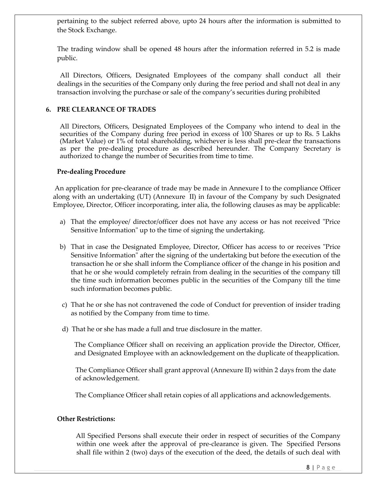pertaining to the subject referred above, upto 24 hours after the information is submitted to the Stock Exchange.

The trading window shall be opened 48 hours after the information referred in 5.2 is made public.

All Directors, Officers, Designated Employees of the company shall conduct all their dealings in the securities of the Company only during the free period and shall not deal in any transaction involving the purchase or sale of the company's securities during prohibited

# **6. PRE CLEARANCE OF TRADES**

All Directors, Officers, Designated Employees of the Company who intend to deal in the securities of the Company during free period in excess of 100 Shares or up to Rs. 5 Lakhs (Market Value) or 1% of total shareholding, whichever is less shall pre-clear the transactions as per the pre-dealing procedure as described hereunder. The Company Secretary is authorized to change the number of Securities from time to time.

#### **Pre-dealing Procedure**

An application for pre-clearance of trade may be made in Annexure I to the compliance Officer along with an undertaking (UT) (Annexure II) in favour of the Company by such Designated Employee, Director, Officer incorporating, inter alia, the following clauses as may be applicable:

- a) That the employee/ director/officer does not have any access or has not received "Price Sensitive Information" up to the time of signing the undertaking.
- b) That in case the Designated Employee, Director, Officer has access to or receives "Price Sensitive Information" after the signing of the undertaking but before the execution of the transaction he or she shall inform the Compliance officer of the change in his position and that he or she would completely refrain from dealing in the securities of the company till the time such information becomes public in the securities of the Company till the time such information becomes public.
- c) That he or she has not contravened the code of Conduct for prevention of insider trading as notified by the Company from time to time.
- d) That he or she has made a full and true disclosure in the matter.

The Compliance Officer shall on receiving an application provide the Director, Officer, and Designated Employee with an acknowledgement on the duplicate of theapplication.

The Compliance Officer shall grant approval (Annexure II) within 2 days from the date of acknowledgement.

The Compliance Officer shall retain copies of all applications and acknowledgements.

#### **Other Restrictions:**

All Specified Persons shall execute their order in respect of securities of the Company within one week after the approval of pre-clearance is given. The Specified Persons shall file within 2 (two) days of the execution of the deed, the details of such deal with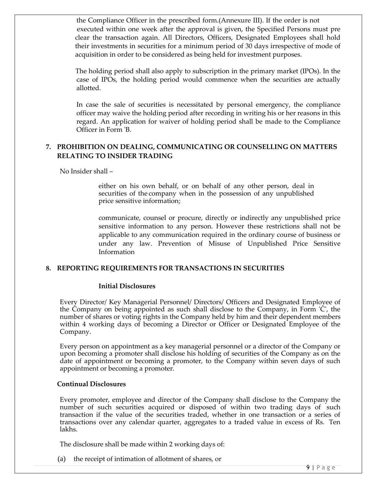the Compliance Officer in the prescribed form.(Annexure III). If the order is not executed within one week after the approval is given, the Specified Persons must pre clear the transaction again. All Directors, Officers, Designated Employees shall hold their investments in securities for a minimum period of 30 days irrespective of mode of acquisition in order to be considered as being held for investment purposes.

The holding period shall also apply to subscription in the primary market (IPOs). In the case of IPOs, the holding period would commence when the securities are actually allotted.

In case the sale of securities is necessitated by personal emergency, the compliance officer may waive the holding period after recording in writing his or her reasons in this regard. An application for waiver of holding period shall be made to the Compliance Officer in Form 'B.

# **7. PROHIBITION ON DEALING, COMMUNICATING OR COUNSELLING ON MATTERS RELATING TO INSIDER TRADING**

No Insider shall –

either on his own behalf, or on behalf of any other person, deal in securities of the company when in the possession of any unpublished price sensitive information;

communicate, counsel or procure, directly or indirectly any unpublished price sensitive information to any person. However these restrictions shall not be applicable to any communication required in the ordinary course of business or under any law. Prevention of Misuse of Unpublished Price Sensitive Information

#### **8. REPORTING REQUIREMENTS FOR TRANSACTIONS IN SECURITIES**

#### **Initial Disclosures**

Every Director/ Key Managerial Personnel/ Directors/ Officers and Designated Employee of the Company on being appointed as such shall disclose to the Company, in Form 'C', the number of shares or voting rights in the Company held by him and their dependent members within 4 working days of becoming a Director or Officer or Designated Employee of the Company.

Every person on appointment as a key managerial personnel or a director of the Company or upon becoming a promoter shall disclose his holding of securities of the Company as on the date of appointment or becoming a promoter, to the Company within seven days of such appointment or becoming a promoter.

#### **Continual Disclosures**

Every promoter, employee and director of the Company shall disclose to the Company the number of such securities acquired or disposed of within two trading days of such transaction if the value of the securities traded, whether in one transaction or a series of transactions over any calendar quarter, aggregates to a traded value in excess of Rs. Ten lakhs.

The disclosure shall be made within 2 working days of:

(a) the receipt of intimation of allotment of shares, or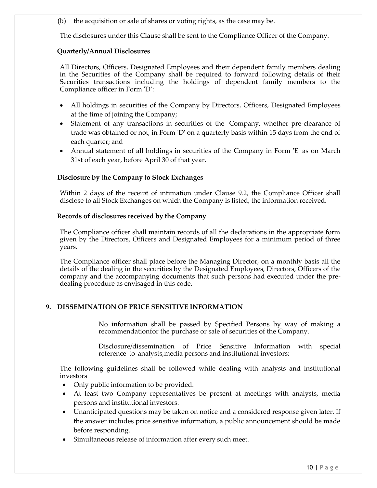(b) the acquisition or sale of shares or voting rights, as the case may be.

The disclosures under this Clause shall be sent to the Compliance Officer of the Company.

# **Quarterly/Annual Disclosures**

All Directors, Officers, Designated Employees and their dependent family members dealing in the Securities of the Company shall be required to forward following details of their Securities transactions including the holdings of dependent family members to the Compliance officer in Form 'D':

- All holdings in securities of the Company by Directors, Officers, Designated Employees at the time of joining the Company;
- Statement of any transactions in securities of the Company, whether pre-clearance of trade was obtained or not, in Form 'D' on a quarterly basis within 15 days from the end of each quarter; and
- Annual statement of all holdings in securities of the Company in Form 'E' as on March 31st of each year, before April 30 of that year.

#### **Disclosure by the Company to Stock Exchanges**

Within 2 days of the receipt of intimation under Clause 9.2, the Compliance Officer shall disclose to all Stock Exchanges on which the Company is listed, the information received.

#### **Records of disclosures received by the Company**

The Compliance officer shall maintain records of all the declarations in the appropriate form given by the Directors, Officers and Designated Employees for a minimum period of three years.

The Compliance officer shall place before the Managing Director, on a monthly basis all the details of the dealing in the securities by the Designated Employees, Directors, Officers of the company and the accompanying documents that such persons had executed under the predealing procedure as envisaged in this code.

# **9. DISSEMINATION OF PRICE SENSITIVE INFORMATION**

No information shall be passed by Specified Persons by way of making a recommendationfor the purchase or sale of securities of the Company.

Disclosure/dissemination of Price Sensitive Information with special reference to analysts,media persons and institutional investors:

The following guidelines shall be followed while dealing with analysts and institutional investors

- Only public information to be provided.
- At least two Company representatives be present at meetings with analysts, media persons and institutional investors.
- Unanticipated questions may be taken on notice and a considered response given later. If the answer includes price sensitive information, a public announcement should be made before responding.
- Simultaneous release of information after every such meet.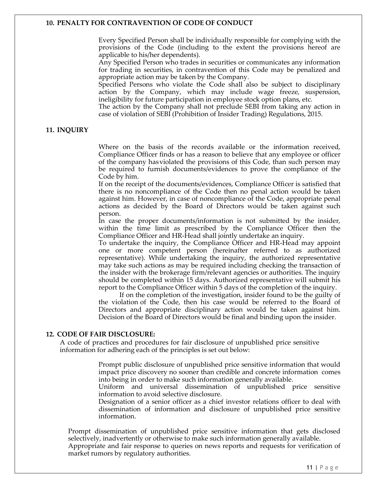#### **10. PENALTY FOR CONTRAVENTION OF CODE OF CONDUCT**

Every Specified Person shall be individually responsible for complying with the provisions of the Code (including to the extent the provisions hereof are applicable to his/her dependents).

Any Specified Person who trades in securities or communicates any information for trading in securities, in contravention of this Code may be penalized and appropriate action may be taken by the Company.

Specified Persons who violate the Code shall also be subject to disciplinary action by the Company, which may include wage freeze, suspension, ineligibility for future participation in employee stock option plans, etc.

The action by the Company shall not preclude SEBI from taking any action in case of violation of SEBI (Prohibition of Insider Trading) Regulations, 2015.

#### **11. INQUIRY**

Where on the basis of the records available or the information received, Compliance Officer finds or has a reason to believe that any employee or officer of the company hasviolated the provisions of this Code, than such person may be required to furnish documents/evidences to prove the compliance of the Code by him.

If on the receipt of the documents/evidences, Compliance Officer is satisfied that there is no noncompliance of the Code then no penal action would be taken against him. However, in case of noncompliance of the Code, appropriate penal actions as decided by the Board of Directors would be taken against such person.

In case the proper documents/information is not submitted by the insider, within the time limit as prescribed by the Compliance Officer then the Compliance Officer and HR-Head shall jointly undertake an inquiry.

To undertake the inquiry, the Compliance Officer and HR-Head may appoint one or more competent person (hereinafter referred to as authorized representative). While undertaking the inquiry, the authorized representative may take such actions as may be required including checking the transaction of the insider with the brokerage firm/relevant agencies or authorities. The inquiry should be completed within 15 days. Authorized representative will submit his report to the Compliance Officer within 5 days of the completion of the inquiry.

If on the completion of the investigation, insider found to be the guilty of the violation of the Code, then his case would be referred to the Board of Directors and appropriate disciplinary action would be taken against him. Decision of the Board of Directors would be final and binding upon the insider.

#### **12. CODE OF FAIR DISCLOSURE:**

A code of practices and procedures for fair disclosure of unpublished price sensitive information for adhering each of the principles is set out below:

> Prompt public disclosure of unpublished price sensitive information that would impact price discovery no sooner than credible and concrete information comes into being in order to make such information generally available.

> Uniform and universal dissemination of unpublished price sensitive information to avoid selective disclosure.

> Designation of a senior officer as a chief investor relations officer to deal with dissemination of information and disclosure of unpublished price sensitive information.

Prompt dissemination of unpublished price sensitive information that gets disclosed selectively, inadvertently or otherwise to make such information generally available. Appropriate and fair response to queries on news reports and requests for verification of market rumors by regulatory authorities.